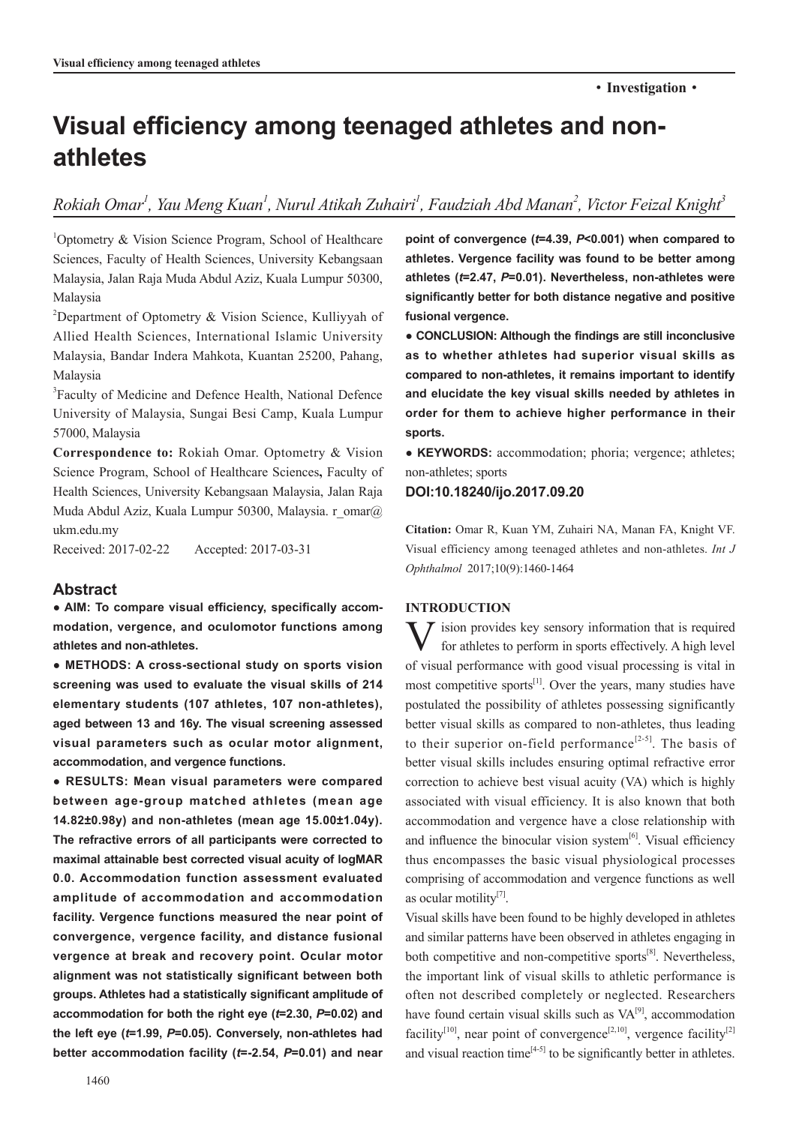# **Visual efficiency among teenaged athletes and nonathletes**

 $R$ okiah Omar<sup>1</sup>, Yau Meng Kuan<sup>1</sup>, Nurul Atikah Zuhairi<sup>1</sup>, Faudziah Abd Manan<sup>2</sup>, Victor Feizal Knight<sup>3</sup>

1 Optometry & Vision Science Program, School of Healthcare Sciences, Faculty of Health Sciences, University Kebangsaan Malaysia, Jalan Raja Muda Abdul Aziz, Kuala Lumpur 50300, Malaysia

<sup>2</sup>Department of Optometry & Vision Science, Kulliyyah of Allied Health Sciences, International Islamic University Malaysia, Bandar Indera Mahkota, Kuantan 25200, Pahang, Malaysia

3 Faculty of Medicine and Defence Health, National Defence University of Malaysia, Sungai Besi Camp, Kuala Lumpur 57000, Malaysia

**Correspondence to:** Rokiah Omar. Optometry & Vision Science Program, School of Healthcare Sciences**,** Faculty of Health Sciences, University Kebangsaan Malaysia, Jalan Raja Muda Abdul Aziz, Kuala Lumpur 50300, Malaysia. r\_omar@ ukm.edu.my

Received: 2017-02-22 Accepted: 2017-03-31

## **Abstract**

**● AIM: To compare visual efficiency, specifically accommodation, vergence, and oculomotor functions among athletes and non-athletes.** 

**● METHODS: A cross-sectional study on sports vision screening was used to evaluate the visual skills of 214 elementary students (107 athletes, 107 non-athletes), aged between 13 and 16y. The visual screening assessed visual parameters such as ocular motor alignment, accommodation, and vergence functions.** 

**● RESULTS: Mean visual parameters were compared between age-group matched athletes (mean age 14.82±0.98y) and non-athletes (mean age 15.00±1.04y). The refractive errors of all participants were corrected to maximal attainable best corrected visual acuity of logMAR 0.0. Accommodation function assessment evaluated amplitude of accommodation and accommodation facility. Vergence functions measured the near point of convergence, vergence facility, and distance fusional vergence at break and recovery point. Ocular motor alignment was not statistically significant between both groups. Athletes had a statistically significant amplitude of accommodation for both the right eye (***t***=2.30,** *P***=0.02) and the left eye (***t***=1.99,** *P***=0.05). Conversely, non-athletes had better accommodation facility (***t***=-2.54,** *P***=0.01) and near** 

**point of convergence (***t***=4.39,** *P***<0.001) when compared to athletes. Vergence facility was found to be better among athletes (***t***=2.47,** *P***=0.01). Nevertheless, non-athletes were significantly better for both distance negative and positive fusional vergence.**

**● CONCLUSION: Although the findings are still inconclusive as to whether athletes had superior visual skills as compared to non-athletes, it remains important to identify and elucidate the key visual skills needed by athletes in order for them to achieve higher performance in their sports.** 

**● KEYWORDS:** accommodation; phoria; vergence; athletes; non-athletes; sports

## **DOI:10.18240/ijo.2017.09.20**

**Citation:** Omar R, Kuan YM, Zuhairi NA, Manan FA, Knight VF. Visual efficiency among teenaged athletes and non-athletes. *Int J Ophthalmol* 2017;10(9):1460-1464

# **INTRODUCTION**

 $\sum$  ision provides key sensory information that is required for athletes to perform in sports effectively. A high level of visual performance with good visual processing is vital in most competitive sports $^{[1]}$ . Over the years, many studies have postulated the possibility of athletes possessing significantly better visual skills as compared to non-athletes, thus leading to their superior on-field performance<sup>[2-5]</sup>. The basis of better visual skills includes ensuring optimal refractive error correction to achieve best visual acuity (VA) which is highly associated with visual efficiency. It is also known that both accommodation and vergence have a close relationship with and influence the binocular vision system $[6]$ . Visual efficiency thus encompasses the basic visual physiological processes comprising of accommodation and vergence functions as well as ocular motility $^{[7]}$ .

Visual skills have been found to be highly developed in athletes and similar patterns have been observed in athletes engaging in both competitive and non-competitive sports $[8]$ . Nevertheless, the important link of visual skills to athletic performance is often not described completely or neglected. Researchers have found certain visual skills such as  $VA^{[9]}$ , accommodation facility<sup>[10]</sup>, near point of convergence<sup>[2,10]</sup>, vergence facility<sup>[2]</sup> and visual reaction time $[4-5]$  to be significantly better in athletes.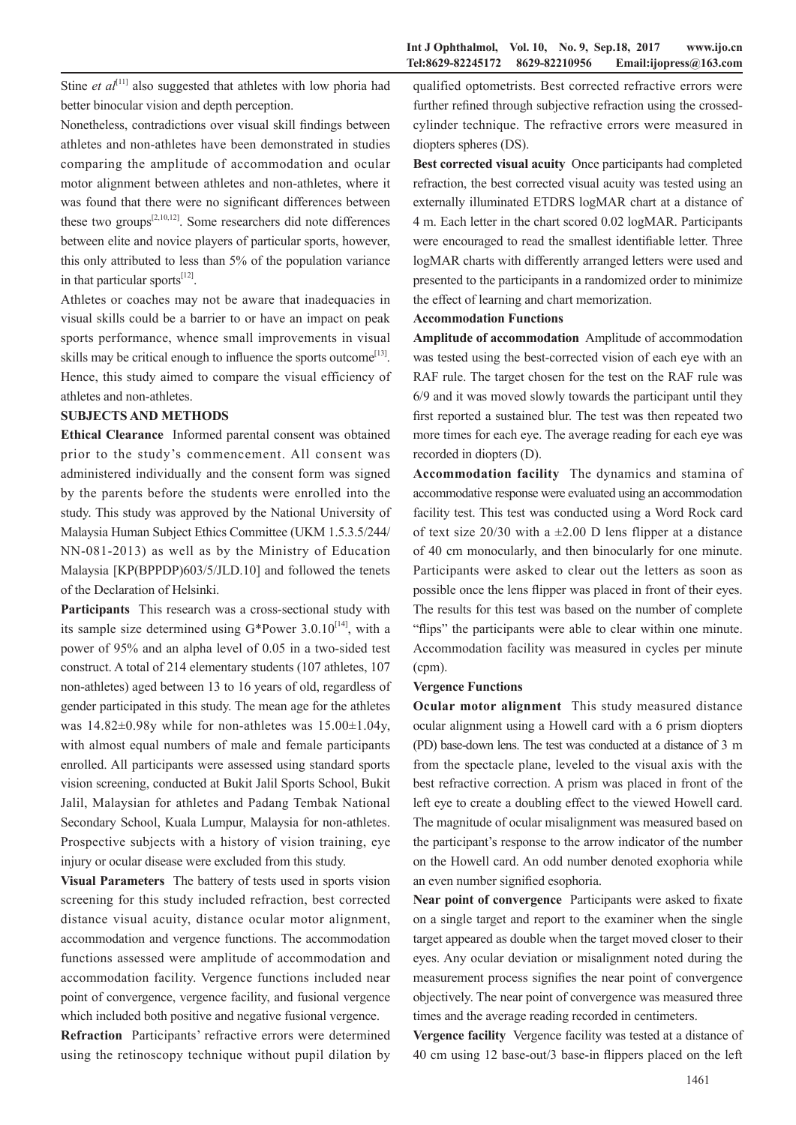Stine *et*  $al^{[11]}$  also suggested that athletes with low phoria had better binocular vision and depth perception.

Nonetheless, contradictions over visual skill findings between athletes and non-athletes have been demonstrated in studies comparing the amplitude of accommodation and ocular motor alignment between athletes and non-athletes, where it was found that there were no significant differences between these two groups<sup>[2,10,12]</sup>. Some researchers did note differences between elite and novice players of particular sports, however, this only attributed to less than 5% of the population variance in that particular sports<sup>[12]</sup>.

Athletes or coaches may not be aware that inadequacies in visual skills could be a barrier to or have an impact on peak sports performance, whence small improvements in visual skills may be critical enough to influence the sports outcome<sup>[13]</sup>. Hence, this study aimed to compare the visual efficiency of athletes and non-athletes.

## **SUBJECTS AND METHODS**

**Ethical Clearance** Informed parental consent was obtained prior to the study's commencement. All consent was administered individually and the consent form was signed by the parents before the students were enrolled into the study. This study was approved by the National University of Malaysia Human Subject Ethics Committee (UKM 1.5.3.5/244/ NN-081-2013) as well as by the Ministry of Education Malaysia [KP(BPPDP)603/5/JLD.10] and followed the tenets of the Declaration of Helsinki.

**Participants** This research was a cross-sectional study with its sample size determined using  $G^*$ Power 3.0.10<sup>[14]</sup>, with a power of 95% and an alpha level of 0.05 in a two-sided test construct. A total of 214 elementary students (107 athletes, 107 non-athletes) aged between 13 to 16 years of old, regardless of gender participated in this study. The mean age for the athletes was  $14.82\pm0.98y$  while for non-athletes was  $15.00\pm1.04y$ , with almost equal numbers of male and female participants enrolled. All participants were assessed using standard sports vision screening, conducted at Bukit Jalil Sports School, Bukit Jalil, Malaysian for athletes and Padang Tembak National Secondary School, Kuala Lumpur, Malaysia for non-athletes. Prospective subjects with a history of vision training, eye injury or ocular disease were excluded from this study.

**Visual Parameters** The battery of tests used in sports vision screening for this study included refraction, best corrected distance visual acuity, distance ocular motor alignment, accommodation and vergence functions. The accommodation functions assessed were amplitude of accommodation and accommodation facility. Vergence functions included near point of convergence, vergence facility, and fusional vergence which included both positive and negative fusional vergence.

**Refraction** Participants' refractive errors were determined using the retinoscopy technique without pupil dilation by

qualified optometrists. Best corrected refractive errors were further refined through subjective refraction using the crossedcylinder technique. The refractive errors were measured in diopters spheres (DS).

**Best corrected visual acuity** Once participants had completed refraction, the best corrected visual acuity was tested using an externally illuminated ETDRS logMAR chart at a distance of 4 m. Each letter in the chart scored 0.02 logMAR. Participants were encouraged to read the smallest identifiable letter. Three logMAR charts with differently arranged letters were used and presented to the participants in a randomized order to minimize the effect of learning and chart memorization.

## **Accommodation Functions**

**Amplitude of accommodation** Amplitude of accommodation was tested using the best-corrected vision of each eye with an RAF rule. The target chosen for the test on the RAF rule was 6/9 and it was moved slowly towards the participant until they first reported a sustained blur. The test was then repeated two more times for each eye. The average reading for each eye was recorded in diopters (D).

**Accommodation facility** The dynamics and stamina of accommodative response were evaluated using an accommodation facility test. This test was conducted using a Word Rock card of text size  $20/30$  with a  $\pm 2.00$  D lens flipper at a distance of 40 cm monocularly, and then binocularly for one minute. Participants were asked to clear out the letters as soon as possible once the lens flipper was placed in front of their eyes. The results for this test was based on the number of complete "flips" the participants were able to clear within one minute. Accommodation facility was measured in cycles per minute (cpm).

#### **Vergence Functions**

**Ocular motor alignment** This study measured distance ocular alignment using a Howell card with a 6 prism diopters (PD) base-down lens. The test was conducted at a distance of 3 m from the spectacle plane, leveled to the visual axis with the best refractive correction. A prism was placed in front of the left eye to create a doubling effect to the viewed Howell card. The magnitude of ocular misalignment was measured based on the participant's response to the arrow indicator of the number on the Howell card. An odd number denoted exophoria while an even number signified esophoria.

**Near point of convergence** Participants were asked to fixate on a single target and report to the examiner when the single target appeared as double when the target moved closer to their eyes. Any ocular deviation or misalignment noted during the measurement process signifies the near point of convergence objectively. The near point of convergence was measured three times and the average reading recorded in centimeters.

**Vergence facility** Vergence facility was tested at a distance of 40 cm using 12 base-out/3 base-in flippers placed on the left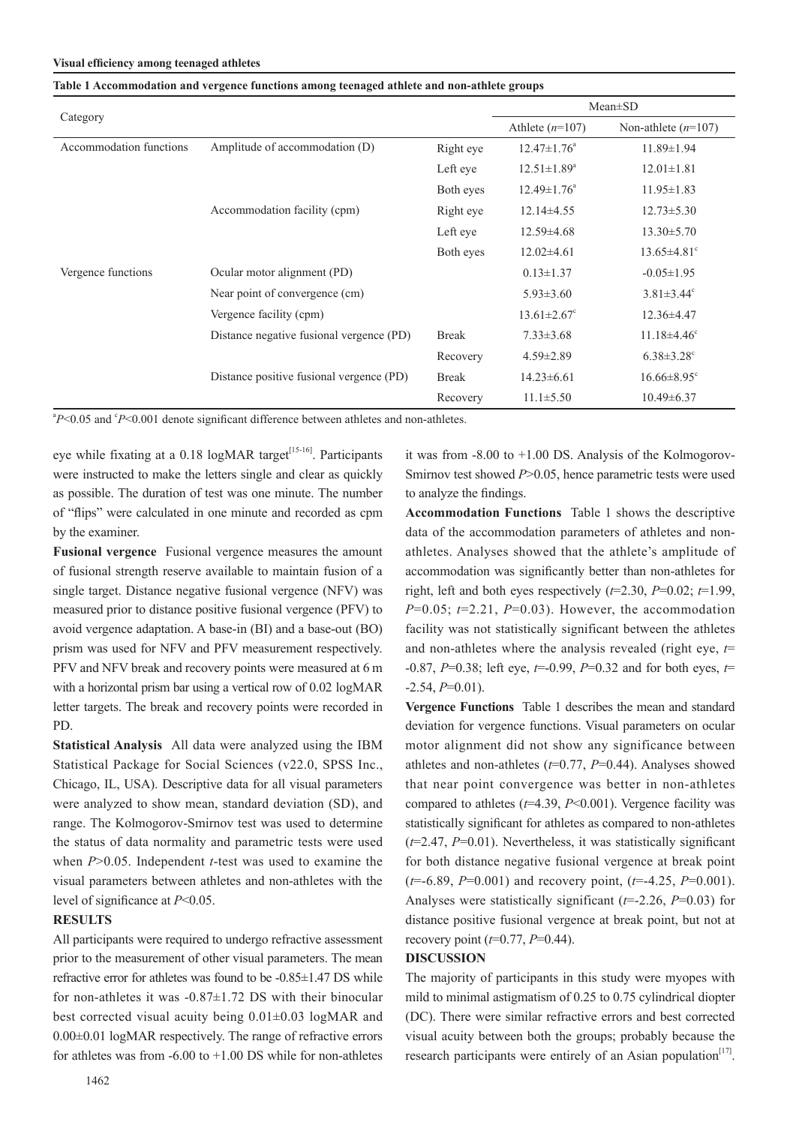#### **Visual efficiency among teenaged athletes**

| Category                |                                          |              | $Mean \pm SD$                 |                               |
|-------------------------|------------------------------------------|--------------|-------------------------------|-------------------------------|
|                         |                                          |              | Athlete $(n=107)$             | Non-athlete $(n=107)$         |
| Accommodation functions | Amplitude of accommodation (D)           | Right eye    | $12.47 \pm 1.76^a$            | $11.89 \pm 1.94$              |
|                         |                                          | Left eye     | $12.51 \pm 1.89^a$            | $12.01 \pm 1.81$              |
|                         |                                          | Both eyes    | $12.49 \pm 1.76^a$            | $11.95 \pm 1.83$              |
|                         | Accommodation facility (cpm)             | Right eye    | $12.14\pm4.55$                | $12.73 \pm 5.30$              |
|                         |                                          | Left eye     | $12.59\pm4.68$                | $13.30 \pm 5.70$              |
|                         |                                          | Both eyes    | $12.02\pm4.61$                | $13.65 \pm 4.81$ <sup>c</sup> |
| Vergence functions      | Ocular motor alignment (PD)              |              | $0.13 \pm 1.37$               | $-0.05 \pm 1.95$              |
|                         | Near point of convergence (cm)           |              | $5.93 \pm 3.60$               | $3.81 \pm 3.44$ °             |
|                         | Vergence facility (cpm)                  |              | $13.61 \pm 2.67$ <sup>c</sup> | $12.36\pm4.47$                |
|                         | Distance negative fusional vergence (PD) | <b>Break</b> | $7.33 \pm 3.68$               | $11.18\pm4.46^{\circ}$        |
|                         |                                          | Recovery     | $4.59 \pm 2.89$               | $6.38 \pm 3.28$ <sup>c</sup>  |
|                         | Distance positive fusional vergence (PD) | <b>Break</b> | $14.23 \pm 6.61$              | $16.66 \pm 8.95$ <sup>c</sup> |
|                         |                                          | Recovery     | $11.1 \pm 5.50$               | $10.49\pm 6.37$               |

#### **Table 1 Accommodation and vergence functions among teenaged athlete and non-athlete groups**

<sup>a</sup>P<0.05 and <sup>c</sup>P<0.001 denote significant difference between athletes and non-athletes.

eye while fixating at a  $0.18$  logMAR target<sup>[15-16]</sup>. Participants were instructed to make the letters single and clear as quickly as possible. The duration of test was one minute. The number of "flips" were calculated in one minute and recorded as cpm by the examiner.

**Fusional vergence** Fusional vergence measures the amount of fusional strength reserve available to maintain fusion of a single target. Distance negative fusional vergence (NFV) was measured prior to distance positive fusional vergence (PFV) to avoid vergence adaptation. A base-in (BI) and a base-out (BO) prism was used for NFV and PFV measurement respectively. PFV and NFV break and recovery points were measured at 6 m with a horizontal prism bar using a vertical row of 0.02 logMAR letter targets. The break and recovery points were recorded in PD.

**Statistical Analysis** All data were analyzed using the IBM Statistical Package for Social Sciences (v22.0, SPSS Inc., Chicago, IL, USA). Descriptive data for all visual parameters were analyzed to show mean, standard deviation (SD), and range. The Kolmogorov-Smirnov test was used to determine the status of data normality and parametric tests were used when *P*>0.05. Independent *t*-test was used to examine the visual parameters between athletes and non-athletes with the level of significance at *P*<0.05.

## **RESULTS**

All participants were required to undergo refractive assessment prior to the measurement of other visual parameters. The mean refractive error for athletes was found to be -0.85±1.47 DS while for non-athletes it was  $-0.87\pm1.72$  DS with their binocular best corrected visual acuity being 0.01±0.03 logMAR and 0.00±0.01 logMAR respectively. The range of refractive errors for athletes was from -6.00 to +1.00 DS while for non-athletes

it was from -8.00 to +1.00 DS. Analysis of the Kolmogorov-Smirnov test showed *P*>0.05, hence parametric tests were used to analyze the findings.

**Accommodation Functions** Table 1 shows the descriptive data of the accommodation parameters of athletes and nonathletes. Analyses showed that the athlete's amplitude of accommodation was significantly better than non-athletes for right, left and both eyes respectively  $(t=2.30, P=0.02; t=1.99)$ , *P*=0.05; *t*=2.21, *P*=0.03). However, the accommodation facility was not statistically significant between the athletes and non-athletes where the analysis revealed (right eye, *t*= -0.87, *P*=0.38; left eye, *t*=-0.99, *P*=0.32 and for both eyes, *t*=  $-2.54, P=0.01$ .

**Vergence Functions** Table 1 describes the mean and standard deviation for vergence functions. Visual parameters on ocular motor alignment did not show any significance between athletes and non-athletes (*t*=0.77, *P*=0.44). Analyses showed that near point convergence was better in non-athletes compared to athletes (*t*=4.39, *P*<0.001). Vergence facility was statistically significant for athletes as compared to non-athletes (*t*=2.47, *P*=0.01). Nevertheless, it was statistically significant for both distance negative fusional vergence at break point (*t*=-6.89, *P*=0.001) and recovery point, (*t*=-4.25, *P*=0.001). Analyses were statistically significant (*t*=-2.26, *P*=0.03) for distance positive fusional vergence at break point, but not at recovery point (*t*=0.77, *P*=0.44).

## **DISCUSSION**

The majority of participants in this study were myopes with mild to minimal astigmatism of 0.25 to 0.75 cylindrical diopter (DC). There were similar refractive errors and best corrected visual acuity between both the groups; probably because the research participants were entirely of an Asian population<sup>[17]</sup>.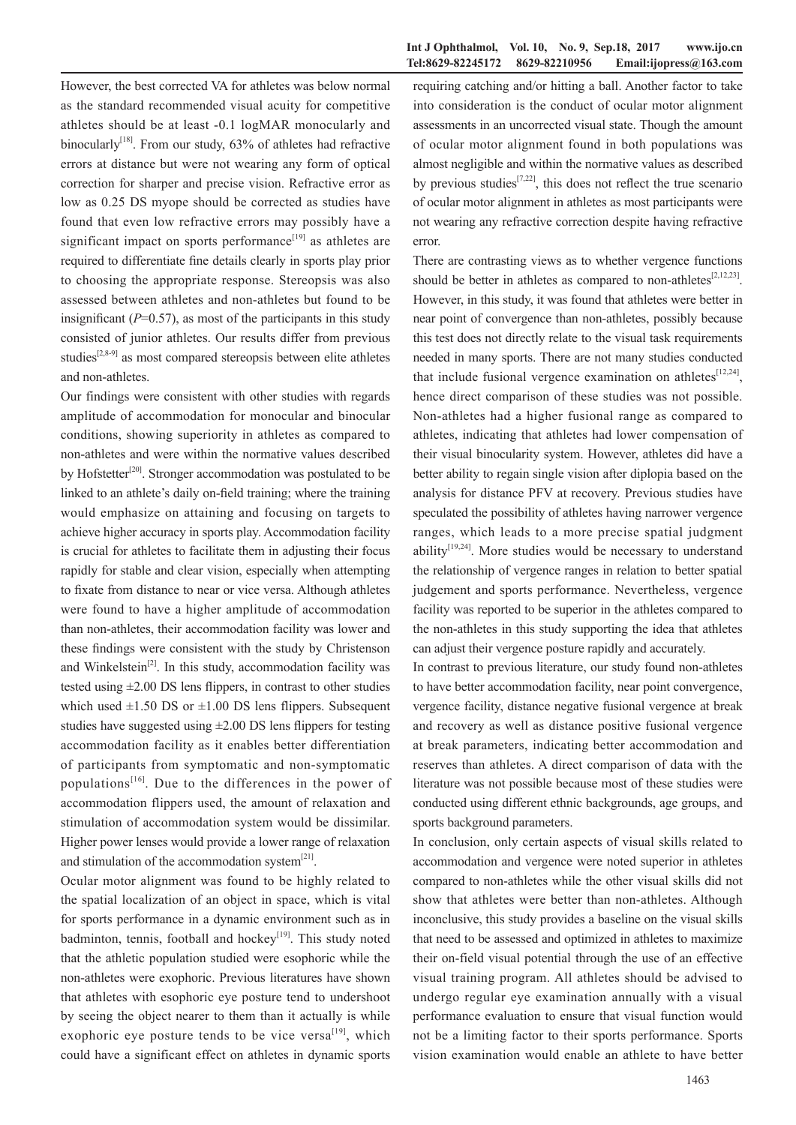However, the best corrected VA for athletes was below normal as the standard recommended visual acuity for competitive athletes should be at least -0.1 logMAR monocularly and binocularly<sup>[18]</sup>. From our study,  $63\%$  of athletes had refractive errors at distance but were not wearing any form of optical correction for sharper and precise vision. Refractive error as low as 0.25 DS myope should be corrected as studies have found that even low refractive errors may possibly have a significant impact on sports performance $[19]$  as athletes are required to differentiate fine details clearly in sports play prior to choosing the appropriate response. Stereopsis was also assessed between athletes and non-athletes but found to be insignificant  $(P=0.57)$ , as most of the participants in this study consisted of junior athletes. Our results differ from previous studies<sup>[2,8-9]</sup> as most compared stereopsis between elite athletes and non-athletes.

Our findings were consistent with other studies with regards amplitude of accommodation for monocular and binocular conditions, showing superiority in athletes as compared to non-athletes and were within the normative values described by Hofstetter<sup>[20]</sup>. Stronger accommodation was postulated to be linked to an athlete's daily on-field training; where the training would emphasize on attaining and focusing on targets to achieve higher accuracy in sports play. Accommodation facility is crucial for athletes to facilitate them in adjusting their focus rapidly for stable and clear vision, especially when attempting to fixate from distance to near or vice versa. Although athletes were found to have a higher amplitude of accommodation than non-athletes, their accommodation facility was lower and these findings were consistent with the study by Christenson and Winkelstein<sup>[2]</sup>. In this study, accommodation facility was tested using ±2.00 DS lens flippers, in contrast to other studies which used  $\pm 1.50$  DS or  $\pm 1.00$  DS lens flippers. Subsequent studies have suggested using  $\pm 2.00$  DS lens flippers for testing accommodation facility as it enables better differentiation of participants from symptomatic and non-symptomatic populations $[16]$ . Due to the differences in the power of accommodation flippers used, the amount of relaxation and stimulation of accommodation system would be dissimilar. Higher power lenses would provide a lower range of relaxation and stimulation of the accommodation system $[21]$ .

Ocular motor alignment was found to be highly related to the spatial localization of an object in space, which is vital for sports performance in a dynamic environment such as in badminton, tennis, football and hockey<sup>[19]</sup>. This study noted that the athletic population studied were esophoric while the non-athletes were exophoric. Previous literatures have shown that athletes with esophoric eye posture tend to undershoot by seeing the object nearer to them than it actually is while exophoric eye posture tends to be vice versa $^{[19]}$ , which could have a significant effect on athletes in dynamic sports

requiring catching and/or hitting a ball. Another factor to take into consideration is the conduct of ocular motor alignment assessments in an uncorrected visual state. Though the amount of ocular motor alignment found in both populations was almost negligible and within the normative values as described by previous studies<sup>[7,22]</sup>, this does not reflect the true scenario of ocular motor alignment in athletes as most participants were not wearing any refractive correction despite having refractive error.

There are contrasting views as to whether vergence functions should be better in athletes as compared to non-athletes<sup>[2,12,23]</sup>. However, in this study, it was found that athletes were better in near point of convergence than non-athletes, possibly because this test does not directly relate to the visual task requirements needed in many sports. There are not many studies conducted that include fusional vergence examination on athletes<sup>[12,24]</sup>, hence direct comparison of these studies was not possible. Non-athletes had a higher fusional range as compared to athletes, indicating that athletes had lower compensation of their visual binocularity system. However, athletes did have a better ability to regain single vision after diplopia based on the analysis for distance PFV at recovery. Previous studies have speculated the possibility of athletes having narrower vergence ranges, which leads to a more precise spatial judgment ability<sup>[19,24]</sup>. More studies would be necessary to understand the relationship of vergence ranges in relation to better spatial judgement and sports performance. Nevertheless, vergence facility was reported to be superior in the athletes compared to the non-athletes in this study supporting the idea that athletes can adjust their vergence posture rapidly and accurately.

In contrast to previous literature, our study found non-athletes to have better accommodation facility, near point convergence, vergence facility, distance negative fusional vergence at break and recovery as well as distance positive fusional vergence at break parameters, indicating better accommodation and reserves than athletes. A direct comparison of data with the literature was not possible because most of these studies were conducted using different ethnic backgrounds, age groups, and sports background parameters.

In conclusion, only certain aspects of visual skills related to accommodation and vergence were noted superior in athletes compared to non-athletes while the other visual skills did not show that athletes were better than non-athletes. Although inconclusive, this study provides a baseline on the visual skills that need to be assessed and optimized in athletes to maximize their on-field visual potential through the use of an effective visual training program. All athletes should be advised to undergo regular eye examination annually with a visual performance evaluation to ensure that visual function would not be a limiting factor to their sports performance. Sports vision examination would enable an athlete to have better